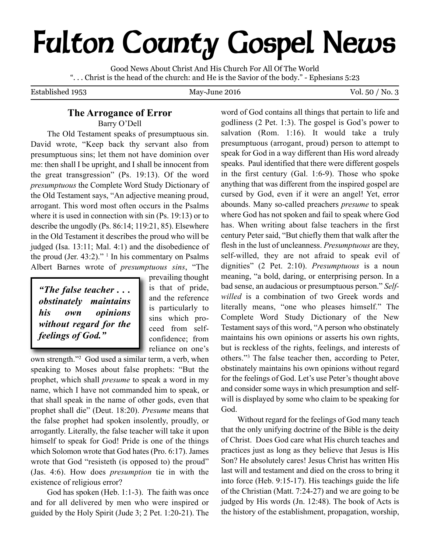# **Fulton County Gospel News**

Good News About Christ And His Church For All Of The World ". . . Christ is the head of the church: and He is the Savior of the body." - Ephesians 5:23

Established 1953 May-June 2016 Vol. 50 / No. 3

## **The Arrogance of Error**

Barry O'Dell

The Old Testament speaks of presumptuous sin. David wrote, "Keep back thy servant also from presumptuous sins; let them not have dominion over me: then shall I be upright, and I shall be innocent from the great transgression" (Ps. 19:13). Of the word *presumptuous* the Complete Word Study Dictionary of the Old Testament says, "An adjective meaning proud, arrogant. This word most often occurs in the Psalms where it is used in connection with sin (Ps. 19:13) or to describe the ungodly (Ps. 86:14; 119:21, 85). Elsewhere in the Old Testament it describes the proud who will be judged (Isa. 13:11; Mal. 4:1) and the disobedience of the proud (Jer. 43:2)." <sup>1</sup> In his commentary on Psalms Albert Barnes wrote of *presumptuous sins*, "The

*"The false teacher . . . obstinately maintains his own opinions without regard for the feelings of God."*

prevailing thought is that of pride, and the reference is particularly to sins which proceed from selfconfidence; from reliance on one's

own strength."2 God used a similar term, a verb, when speaking to Moses about false prophets: "But the prophet, which shall *presume* to speak a word in my name, which I have not commanded him to speak, or that shall speak in the name of other gods, even that prophet shall die" (Deut. 18:20). *Presume* means that the false prophet had spoken insolently, proudly, or arrogantly. Literally, the false teacher will take it upon himself to speak for God! Pride is one of the things which Solomon wrote that God hates (Pro. 6:17). James wrote that God "resisteth (is opposed to) the proud" (Jas. 4:6). How does *presumption* tie in with the existence of religious error?

God has spoken (Heb. 1:1-3). The faith was once and for all delivered by men who were inspired or guided by the Holy Spirit (Jude 3; 2 Pet. 1:20-21). The

word of God contains all things that pertain to life and godliness (2 Pet. 1:3). The gospel is God's power to salvation (Rom. 1:16). It would take a truly presumptuous (arrogant, proud) person to attempt to speak for God in a way different than His word already speaks. Paul identified that there were different gospels in the first century (Gal. 1:6-9). Those who spoke anything that was different from the inspired gospel are cursed by God, even if it were an angel! Yet, error abounds. Many so-called preachers *presume* to speak where God has not spoken and fail to speak where God has. When writing about false teachers in the first century Peter said, "But chiefly them that walk after the flesh in the lust of uncleanness. *Presumptuous* are they, self-willed, they are not afraid to speak evil of dignities" (2 Pet. 2:10). *Presumptuous* is a noun meaning, "a bold, daring, or enterprising person. In a bad sense, an audacious or presumptuous person." *Selfwilled* is a combination of two Greek words and literally means, "one who pleases himself." The Complete Word Study Dictionary of the New Testament says of this word, "A person who obstinately maintains his own opinions or asserts his own rights, but is reckless of the rights, feelings, and interests of others."3 The false teacher then, according to Peter, obstinately maintains his own opinions without regard for the feelings of God. Let's use Peter's thought above and consider some ways in which presumption and selfwill is displayed by some who claim to be speaking for God.

Without regard for the feelings of God many teach that the only unifying doctrine of the Bible is the deity of Christ. Does God care what His church teaches and practices just as long as they believe that Jesus is His Son? He absolutely cares! Jesus Christ has written His last will and testament and died on the cross to bring it into force (Heb. 9:15-17). His teachings guide the life of the Christian (Matt. 7:24-27) and we are going to be judged by His words (Jn. 12:48). The book of Acts is the history of the establishment, propagation, worship,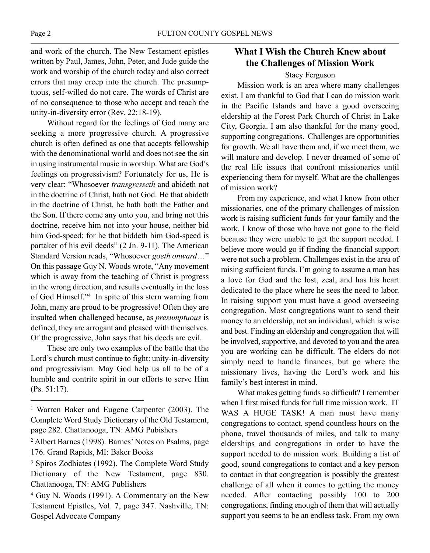and work of the church. The New Testament epistles written by Paul, James, John, Peter, and Jude guide the work and worship of the church today and also correct errors that may creep into the church. The presumptuous, self-willed do not care. The words of Christ are of no consequence to those who accept and teach the unity-in-diversity error (Rev. 22:18-19).

Without regard for the feelings of God many are seeking a more progressive church. A progressive church is often defined as one that accepts fellowship with the denominational world and does not see the sin in using instrumental music in worship. What are God's feelings on progressivism? Fortunately for us, He is very clear: "Whosoever *transgresseth* and abideth not in the doctrine of Christ, hath not God. He that abideth in the doctrine of Christ, he hath both the Father and the Son. If there come any unto you, and bring not this doctrine, receive him not into your house, neither bid him God-speed: for he that biddeth him God-speed is partaker of his evil deeds" (2 Jn. 9-11). The American Standard Version reads, "Whosoever *goeth onward*…" On this passage Guy N. Woods wrote, "Any movement which is away from the teaching of Christ is progress in the wrong direction, and results eventually in the loss of God Himself."4 In spite of this stern warning from John, many are proud to be progressive! Often they are insulted when challenged because, as *presumptuous* is defined, they are arrogant and pleased with themselves. Of the progressive, John says that his deeds are evil.

These are only two examples of the battle that the Lord's church must continue to fight: unity-in-diversity and progressivism. May God help us all to be of a humble and contrite spirit in our efforts to serve Him (Ps. 51:17).

## **What I Wish the Church Knew about the Challenges of Mission Work**

#### Stacy Ferguson

Mission work is an area where many challenges exist. I am thankful to God that I can do mission work in the Pacific Islands and have a good overseeing eldership at the Forest Park Church of Christ in Lake City, Georgia. I am also thankful for the many good, supporting congregations. Challenges are opportunities for growth. We all have them and, if we meet them, we will mature and develop. I never dreamed of some of the real life issues that confront missionaries until experiencing them for myself. What are the challenges of mission work?

From my experience, and what I know from other missionaries, one of the primary challenges of mission work is raising sufficient funds for your family and the work. I know of those who have not gone to the field because they were unable to get the support needed. I believe more would go if finding the financial support were not such a problem. Challenges exist in the area of raising sufficient funds. I'm going to assume a man has a love for God and the lost, zeal, and has his heart dedicated to the place where he sees the need to labor. In raising support you must have a good overseeing congregation. Most congregations want to send their money to an eldership, not an individual, which is wise and best. Finding an eldership and congregation that will be involved, supportive, and devoted to you and the area you are working can be difficult. The elders do not simply need to handle finances, but go where the missionary lives, having the Lord's work and his family's best interest in mind.

What makes getting funds so difficult? I remember when I first raised funds for full time mission work. IT WAS A HUGE TASK! A man must have many congregations to contact, spend countless hours on the phone, travel thousands of miles, and talk to many elderships and congregations in order to have the support needed to do mission work. Building a list of good, sound congregations to contact and a key person to contact in that congregation is possibly the greatest challenge of all when it comes to getting the money needed. After contacting possibly 100 to 200 congregations, finding enough of them that will actually support you seems to be an endless task. From my own

<sup>1</sup> Warren Baker and Eugene Carpenter (2003). The Complete Word Study Dictionary of the Old Testament, page 282. Chattanooga, TN: AMG Pubishers

<sup>2</sup> Albert Barnes (1998). Barnes' Notes on Psalms, page 176. Grand Rapids, MI: Baker Books

<sup>3</sup> Spiros Zodhiates (1992). The Complete Word Study Dictionary of the New Testament, page 830. Chattanooga, TN: AMG Publishers

<sup>4</sup> Guy N. Woods (1991). A Commentary on the New Testament Epistles, Vol. 7, page 347. Nashville, TN: Gospel Advocate Company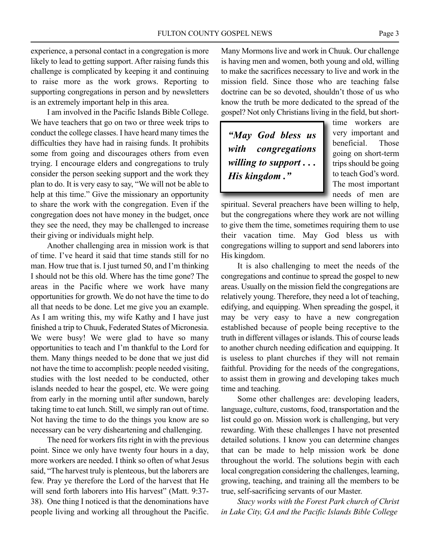experience, a personal contact in a congregation is more likely to lead to getting support. After raising funds this challenge is complicated by keeping it and continuing to raise more as the work grows. Reporting to supporting congregations in person and by newsletters is an extremely important help in this area.

I am involved in the Pacific Islands Bible College. We have teachers that go on two or three week trips to conduct the college classes. I have heard many times the difficulties they have had in raising funds. It prohibits some from going and discourages others from even trying. I encourage elders and congregations to truly consider the person seeking support and the work they plan to do. It is very easy to say, "We will not be able to help at this time." Give the missionary an opportunity to share the work with the congregation. Even if the congregation does not have money in the budget, once they see the need, they may be challenged to increase their giving or individuals might help.

Another challenging area in mission work is that of time. I've heard it said that time stands still for no man. How true that is. I just turned 50, and I'm thinking I should not be this old. Where has the time gone? The areas in the Pacific where we work have many opportunities for growth. We do not have the time to do all that needs to be done. Let me give you an example. As I am writing this, my wife Kathy and I have just finished a trip to Chuuk, Federated States of Micronesia. We were busy! We were glad to have so many opportunities to teach and I'm thankful to the Lord for them. Many things needed to be done that we just did not have the time to accomplish: people needed visiting, studies with the lost needed to be conducted, other islands needed to hear the gospel, etc. We were going from early in the morning until after sundown, barely taking time to eat lunch. Still, we simply ran out of time. Not having the time to do the things you know are so necessary can be very disheartening and challenging.

The need for workers fits right in with the previous point. Since we only have twenty four hours in a day, more workers are needed. I think so often of what Jesus said, "The harvest truly is plenteous, but the laborers are few. Pray ye therefore the Lord of the harvest that He will send forth laborers into His harvest" (Matt. 9:37-38). One thing I noticed is that the denominations have people living and working all throughout the Pacific. Many Mormons live and work in Chuuk. Our challenge is having men and women, both young and old, willing to make the sacrifices necessary to live and work in the mission field. Since those who are teaching false doctrine can be so devoted, shouldn't those of us who know the truth be more dedicated to the spread of the gospel? Not only Christians living in the field, but short-

*"May God bless us with congregations willing to support . . . His kingdom ."*

time workers are very important and beneficial. Those going on short-term trips should be going to teach God's word. The most important needs of men are

spiritual. Several preachers have been willing to help, but the congregations where they work are not willing to give them the time, sometimes requiring them to use their vacation time. May God bless us with congregations willing to support and send laborers into His kingdom.

It is also challenging to meet the needs of the congregations and continue to spread the gospel to new areas. Usually on the mission field the congregations are relatively young. Therefore, they need a lot of teaching, edifying, and equipping. When spreading the gospel, it may be very easy to have a new congregation established because of people being receptive to the truth in different villages or islands. This of course leads to another church needing edification and equipping. It is useless to plant churches if they will not remain faithful. Providing for the needs of the congregations, to assist them in growing and developing takes much time and teaching.

Some other challenges are: developing leaders, language, culture, customs, food, transportation and the list could go on. Mission work is challenging, but very rewarding. With these challenges I have not presented detailed solutions. I know you can determine changes that can be made to help mission work be done throughout the world. The solutions begin with each local congregation considering the challenges, learning, growing, teaching, and training all the members to be true, self-sacrificing servants of our Master.

*Stacy works with the Forest Park church of Christ in Lake City, GA and the Pacific Islands Bible College*